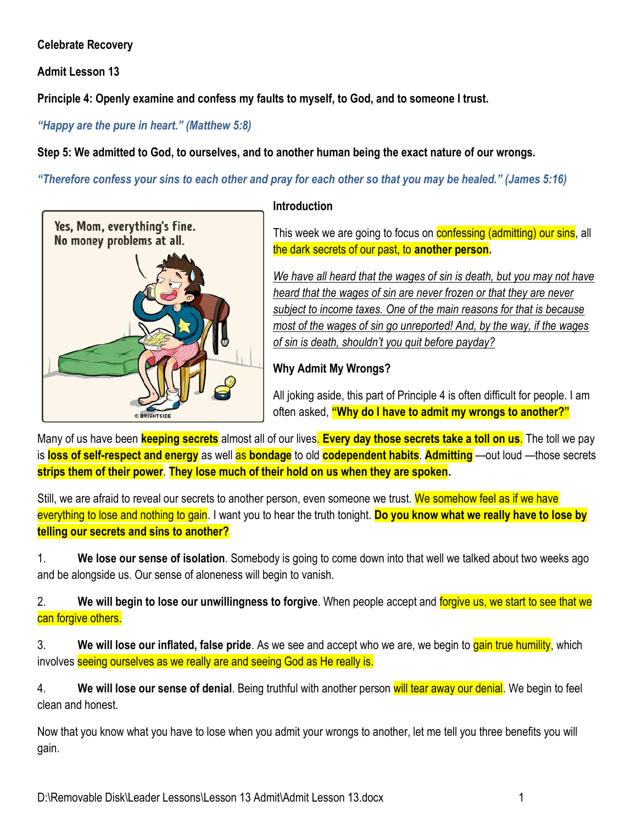### **Celebrate Recovery**

**Admit Lesson 13**

**Principle 4: Openly examine and confess my faults to myself, to God, and to someone I trust.** 

*"Happy are the pure in heart." (Matthew 5:8)* 

**Step 5: We admitted to God, to ourselves, and to another human being the exact nature of our wrongs.** 

*"Therefore confess your sins to each other and pray for each other so that you may be healed." (James 5:16)* 



### **Introduction**

This week we are going to focus on confessing (admitting) our sins, all the dark secrets of our past, to **another person.**

*We have all heard that the wages of sin is death, but you may not have heard that the wages of sin are never frozen or that they are never subject to income taxes. One of the main reasons for that is because most of the wages of sin go unreported! And, by the way, if the wages of sin is death, shouldn't you quit before payday?* 

# **Why Admit My Wrongs?**

All joking aside, this part of Principle 4 is often difficult for people. I am often asked, **"Why do I have to admit my wrongs to another?"**

Many of us have been **keeping secrets** almost all of our lives. **Every day those secrets take a toll on us**. The toll we pay is **loss of self-respect and energy** as well as **bondage** to old **codependent habits**. **Admitting** —out loud —those secrets **strips them of their power**. **They lose much of their hold on us when they are spoken.**

Still, we are afraid to reveal our secrets to another person, even someone we trust. We somehow feel as if we have everything to lose and nothing to gain. I want you to hear the truth tonight. **Do you know what we really have to lose by telling our secrets and sins to another?**

1. **We lose our sense of isolation**. Somebody is going to come down into that well we talked about two weeks ago and be alongside us. Our sense of aloneness will begin to vanish.

2. **We will begin to lose our unwillingness to forgive**. When people accept and forgive us, we start to see that we can forgive others.

3. **We will lose our inflated, false pride**. As we see and accept who we are, we begin to gain true humility, which involves seeing ourselves as we really are and seeing God as He really is.

4. **We will lose our sense of denial**. Being truthful with another person will tear away our denial. We begin to feel clean and honest.

Now that you know what you have to lose when you admit your wrongs to another, let me tell you three benefits you will gain.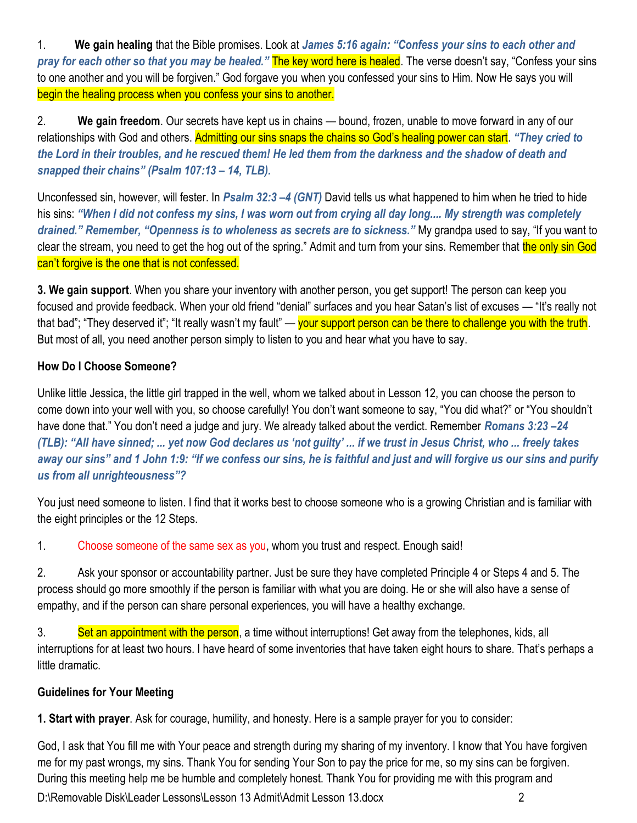1. **We gain healing** that the Bible promises. Look at *James 5:16 again: "Confess your sins to each other and pray for each other so that you may be healed."* The key word here is healed. The verse doesn't say, "Confess your sins to one another and you will be forgiven." God forgave you when you confessed your sins to Him. Now He says you will begin the healing process when you confess your sins to another.

2. **We gain freedom**. Our secrets have kept us in chains — bound, frozen, unable to move forward in any of our relationships with God and others. Admitting our sins snaps the chains so God's healing power can start. *"They cried to the Lord in their troubles, and he rescued them! He led them from the darkness and the shadow of death and snapped their chains" (Psalm 107:13 – 14, TLB).* 

Unconfessed sin, however, will fester. In *Psalm 32:3 –4 (GNT)* David tells us what happened to him when he tried to hide his sins: *"When I did not confess my sins, I was worn out from crying all day long.... My strength was completely drained." Remember, "Openness is to wholeness as secrets are to sickness."* My grandpa used to say, "If you want to clear the stream, you need to get the hog out of the spring." Admit and turn from your sins. Remember that the only sin God can't forgive is the one that is not confessed.

**3. We gain support**. When you share your inventory with another person, you get support! The person can keep you focused and provide feedback. When your old friend "denial" surfaces and you hear Satan's list of excuses — "It's really not that bad"; "They deserved it"; "It really wasn't my fault" — your support person can be there to challenge you with the truth. But most of all, you need another person simply to listen to you and hear what you have to say.

## **How Do I Choose Someone?**

Unlike little Jessica, the little girl trapped in the well, whom we talked about in Lesson 12, you can choose the person to come down into your well with you, so choose carefully! You don't want someone to say, "You did what?" or "You shouldn't have done that." You don't need a judge and jury. We already talked about the verdict. Remember *Romans 3:23 –24 (TLB): "All have sinned; ... yet now God declares us 'not guilty' ... if we trust in Jesus Christ, who ... freely takes away our sins" and 1 John 1:9: "If we confess our sins, he is faithful and just and will forgive us our sins and purify us from all unrighteousness"?* 

You just need someone to listen. I find that it works best to choose someone who is a growing Christian and is familiar with the eight principles or the 12 Steps.

1. Choose someone of the same sex as you, whom you trust and respect. Enough said!

2. Ask your sponsor or accountability partner. Just be sure they have completed Principle 4 or Steps 4 and 5. The process should go more smoothly if the person is familiar with what you are doing. He or she will also have a sense of empathy, and if the person can share personal experiences, you will have a healthy exchange.

3. Set an appointment with the person, a time without interruptions! Get away from the telephones, kids, all interruptions for at least two hours. I have heard of some inventories that have taken eight hours to share. That's perhaps a little dramatic.

## **Guidelines for Your Meeting**

**1. Start with prayer**. Ask for courage, humility, and honesty. Here is a sample prayer for you to consider:

D:\Removable Disk\Leader Lessons\Lesson 13 Admit\Admit Lesson 13.docx 2 God, I ask that You fill me with Your peace and strength during my sharing of my inventory. I know that You have forgiven me for my past wrongs, my sins. Thank You for sending Your Son to pay the price for me, so my sins can be forgiven. During this meeting help me be humble and completely honest. Thank You for providing me with this program and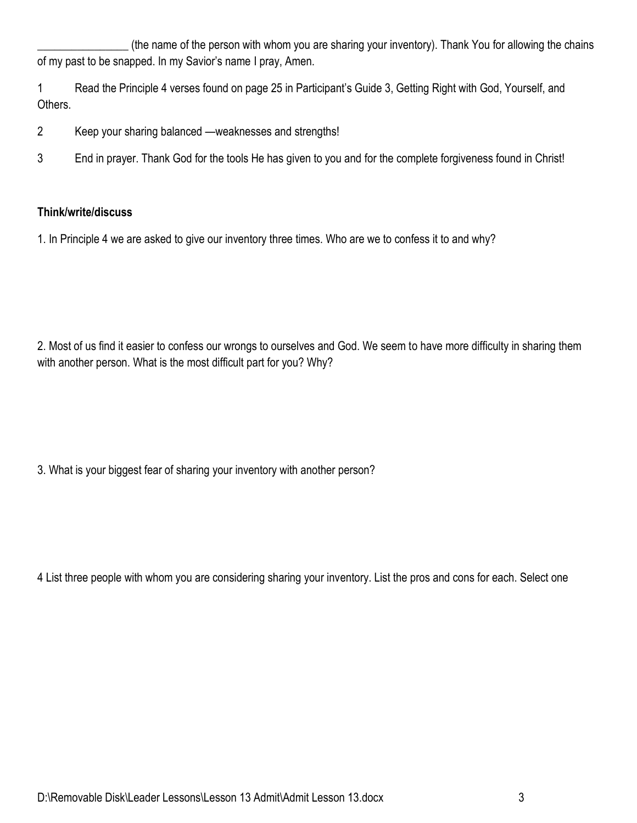(the name of the person with whom you are sharing your inventory). Thank You for allowing the chains of my past to be snapped. In my Savior's name I pray, Amen.

1 Read the Principle 4 verses found on page 25 in Participant's Guide 3, Getting Right with God, Yourself, and Others.

2 Keep your sharing balanced —weaknesses and strengths!

3 End in prayer. Thank God for the tools He has given to you and for the complete forgiveness found in Christ!

#### **Think/write/discuss**

1. In Principle 4 we are asked to give our inventory three times. Who are we to confess it to and why?

2. Most of us find it easier to confess our wrongs to ourselves and God. We seem to have more difficulty in sharing them with another person. What is the most difficult part for you? Why?

3. What is your biggest fear of sharing your inventory with another person?

4 List three people with whom you are considering sharing your inventory. List the pros and cons for each. Select one